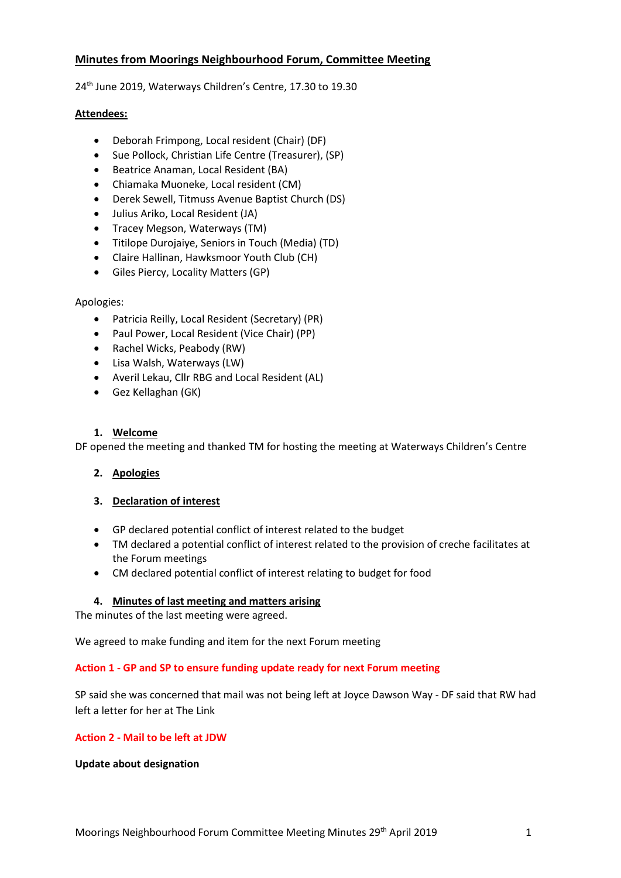# **Minutes from Moorings Neighbourhood Forum, Committee Meeting**

24 th June 2019, Waterways Children's Centre, 17.30 to 19.30

## **Attendees:**

- Deborah Frimpong, Local resident (Chair) (DF)
- Sue Pollock, Christian Life Centre (Treasurer), (SP)
- Beatrice Anaman, Local Resident (BA)
- Chiamaka Muoneke, Local resident (CM)
- Derek Sewell, Titmuss Avenue Baptist Church (DS)
- Julius Ariko, Local Resident (JA)
- Tracey Megson, Waterways (TM)
- Titilope Durojaiye, Seniors in Touch (Media) (TD)
- Claire Hallinan, Hawksmoor Youth Club (CH)
- Giles Piercy, Locality Matters (GP)

## Apologies:

- Patricia Reilly, Local Resident (Secretary) (PR)
- Paul Power, Local Resident (Vice Chair) (PP)
- Rachel Wicks, Peabody (RW)
- Lisa Walsh, Waterways (LW)
- Averil Lekau, Cllr RBG and Local Resident (AL)
- Gez Kellaghan (GK)

## **1. Welcome**

DF opened the meeting and thanked TM for hosting the meeting at Waterways Children's Centre

# **2. Apologies**

# **3. Declaration of interest**

- GP declared potential conflict of interest related to the budget
- TM declared a potential conflict of interest related to the provision of creche facilitates at the Forum meetings
- CM declared potential conflict of interest relating to budget for food

# **4. Minutes of last meeting and matters arising**

The minutes of the last meeting were agreed.

We agreed to make funding and item for the next Forum meeting

# **Action 1 - GP and SP to ensure funding update ready for next Forum meeting**

SP said she was concerned that mail was not being left at Joyce Dawson Way - DF said that RW had left a letter for her at The Link

# **Action 2 - Mail to be left at JDW**

**Update about designation**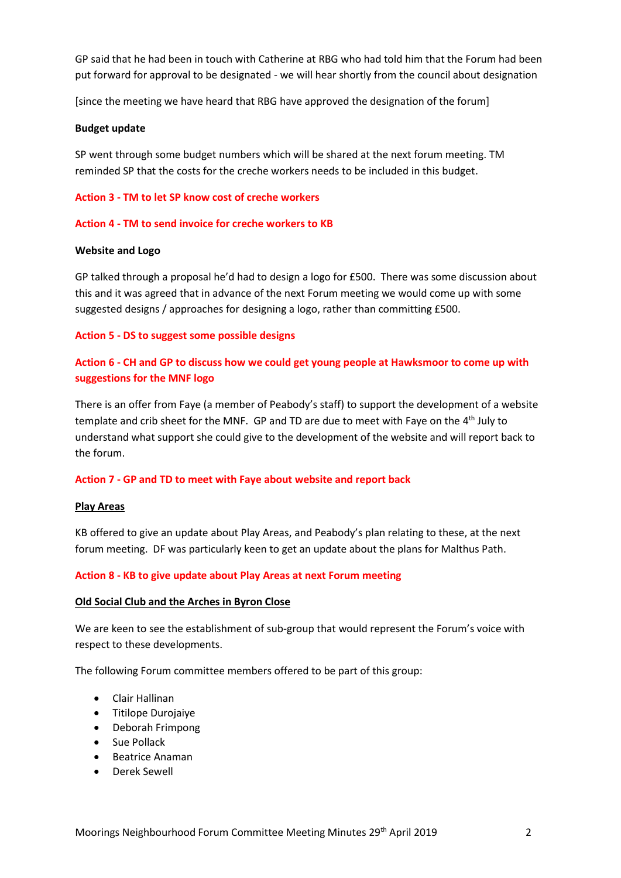GP said that he had been in touch with Catherine at RBG who had told him that the Forum had been put forward for approval to be designated - we will hear shortly from the council about designation

[since the meeting we have heard that RBG have approved the designation of the forum]

#### **Budget update**

SP went through some budget numbers which will be shared at the next forum meeting. TM reminded SP that the costs for the creche workers needs to be included in this budget.

## **Action 3 - TM to let SP know cost of creche workers**

#### **Action 4 - TM to send invoice for creche workers to KB**

#### **Website and Logo**

GP talked through a proposal he'd had to design a logo for £500. There was some discussion about this and it was agreed that in advance of the next Forum meeting we would come up with some suggested designs / approaches for designing a logo, rather than committing £500.

#### **Action 5 - DS to suggest some possible designs**

# **Action 6 - CH and GP to discuss how we could get young people at Hawksmoor to come up with suggestions for the MNF logo**

There is an offer from Faye (a member of Peabody's staff) to support the development of a website template and crib sheet for the MNF. GP and TD are due to meet with Faye on the 4<sup>th</sup> July to understand what support she could give to the development of the website and will report back to the forum.

#### **Action 7 - GP and TD to meet with Faye about website and report back**

#### **Play Areas**

KB offered to give an update about Play Areas, and Peabody's plan relating to these, at the next forum meeting. DF was particularly keen to get an update about the plans for Malthus Path.

#### **Action 8 - KB to give update about Play Areas at next Forum meeting**

#### **Old Social Club and the Arches in Byron Close**

We are keen to see the establishment of sub-group that would represent the Forum's voice with respect to these developments.

The following Forum committee members offered to be part of this group:

- Clair Hallinan
- Titilope Durojaiye
- Deborah Frimpong
- Sue Pollack
- Beatrice Anaman
- Derek Sewell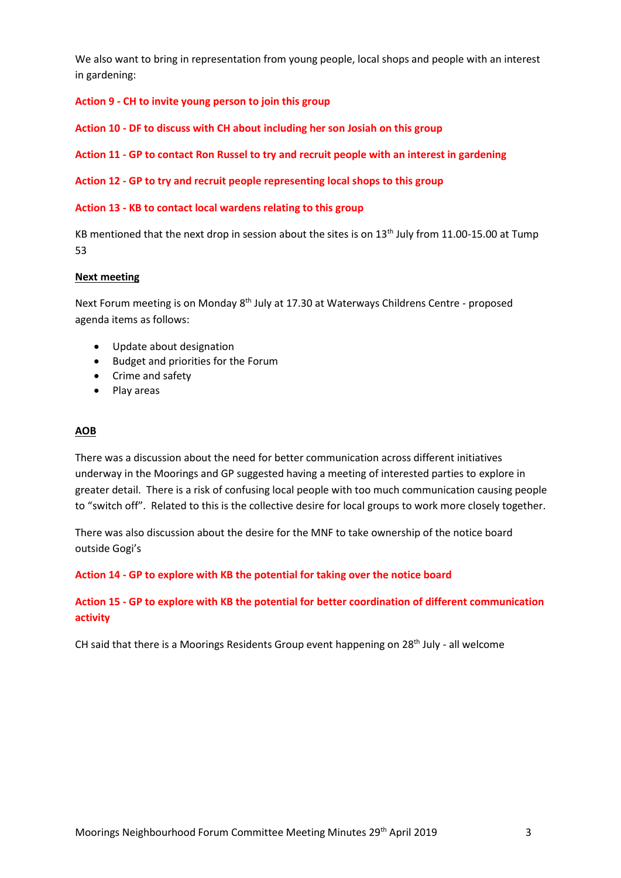We also want to bring in representation from young people, local shops and people with an interest in gardening:

**Action 9 - CH to invite young person to join this group**

**Action 10 - DF to discuss with CH about including her son Josiah on this group**

**Action 11 - GP to contact Ron Russel to try and recruit people with an interest in gardening**

**Action 12 - GP to try and recruit people representing local shops to this group**

#### **Action 13 - KB to contact local wardens relating to this group**

KB mentioned that the next drop in session about the sites is on 13<sup>th</sup> July from 11.00-15.00 at Tump 53

#### **Next meeting**

Next Forum meeting is on Monday 8<sup>th</sup> July at 17.30 at Waterways Childrens Centre - proposed agenda items as follows:

- Update about designation
- Budget and priorities for the Forum
- Crime and safety
- Play areas

#### **AOB**

There was a discussion about the need for better communication across different initiatives underway in the Moorings and GP suggested having a meeting of interested parties to explore in greater detail. There is a risk of confusing local people with too much communication causing people to "switch off". Related to this is the collective desire for local groups to work more closely together.

There was also discussion about the desire for the MNF to take ownership of the notice board outside Gogi's

#### **Action 14 - GP to explore with KB the potential for taking over the notice board**

# **Action 15 - GP to explore with KB the potential for better coordination of different communication activity**

CH said that there is a Moorings Residents Group event happening on  $28<sup>th</sup>$  July - all welcome